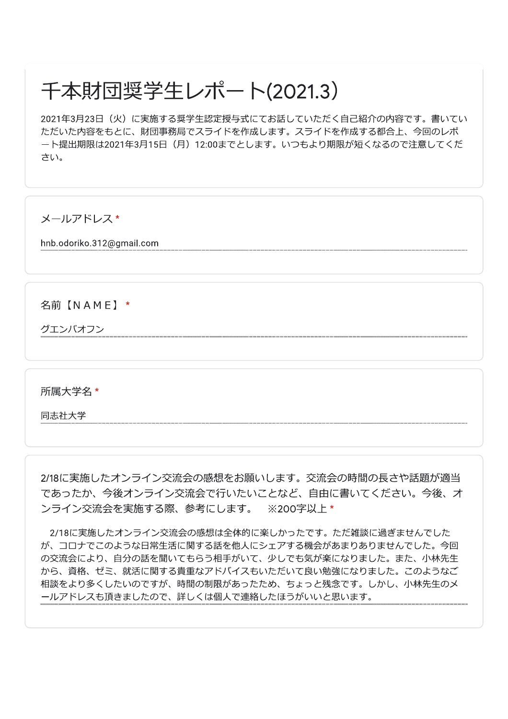## 千本財団奨学生レポート(2021.3)

2021年3月23日(火)に実施する奨学生認定授与式にてお話していただく自己紹介の内容です。書いてい ただいた内容をもとに、財団事務局でスライドを作成します。スライドを作成する都合上、今回のレポ ート提出期限は2021年3月15日 (月) 12:00までとします。いつもより期限が短くなるので注意してくだ さい。

メールアドレス\*

hnb.odoriko.312@gmail.com

名前【NAME】\*

グエンバオフン

所属大学名 \*

同志社大学

2/18に実施したオンライン交流会の感想をお願いします。交流会の時間の長さや話題が適当 であったか、今後オンライン交流会で行いたいことなど、自由に書いてください。今後、オ ンライン交流会を実施する際、参考にします。 ※200字以上\*

2/18に実施したオンライン交流会の感想は全体的に楽しかったです。ただ雑談に過ぎませんでした が、コロナでこのような日常生活に関する話を他人にシェアする機会があまりありませんでした。今回 の交流会により、自分の話を聞いてもらう相手がいて、少しでも気が楽になりました。また、小林先生 から、資格、ゼミ、就活に関する貴重なアドバイスもいただいて良い勉強になりました。このようなご 相談をより多くしたいのですが、時間の制限があったため、ちょっと残念です。しかし、小林先生のメ ールアドレスも頂きましたので、詳しくは個人で連絡したほうがいいと思います。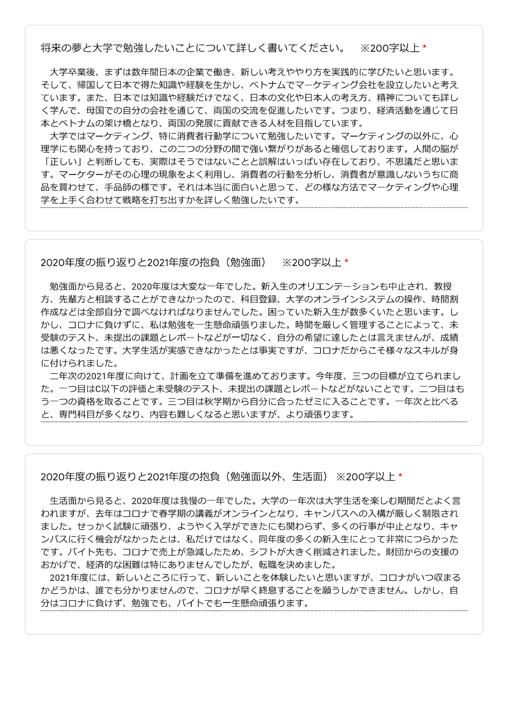将来の夢と大学で勉強したいことについて詳しく書いてください。 ※200字以上\*

大学卒業後、まずは数年間日本の企業で働き、新しい考えややり方を実践的に学びたいと思います。 そして、帰国して日本で得た知識や経験を生かし、ベトナムでマーケティング会社を設立したいと考え ています。また、日本では知識や経験だけでなく、日本の文化や日本人の考え方、精神についても詳し く学んで、母国での自分の会社を通じて、両国の交流を促進したいです。つまり、経済活動を通じて日 本とベトナムの架け橋となり、両国の発展に貢献できる人材を目指しています。

大学ではマーケティング、特に消費者行動学について勉強したいです。マーケティングの以外に、心 理学にも関心を持っており、この二つの分野の間で強い繋がりがあると確信しております。人間の脳が 「正しい」と判断しても、実際はそうではないことと誤解はいっぱい存在しており、不思議だと思いま す。マーケターがその心理の現象をよく利用し、消費者の行動を分析し、消費者が意識しないうちに商 品を買わせて、手品師の様です。それは本当に面白いと思って、どの様な方法でマーケティングや心理 学を上手く合わせて戦略を打ち出すかを詳しく勉強したいです。

2020年度の振り返りと2021年度の抱負(勉強面) ※200字以上\*

勉強面から見ると、2020年度は大変な一年でした。新入生のオリエンテーションも中止され、教授 方、先輩方と相談することができなかったので、科目登録、大学のオンラインシステムの操作、時間割 作成などは全部自分で調べなければなりませんでした。困っていた新入生が数多くいたと思います。し かし、コロナに負けずに、私は勉強を一生懸命頑張りました。時間を厳しく管理することによって、未 受験のテスト、未提出の課題とレポートなどが一切なく、自分の希望に達したとは言えませんが、成績 は悪くなったです。大学生活が実感できなかったとは事実ですが、コロナだからこそ様々なスキルが身 に付けられました。

二年次の2021年度に向けて、計画を立て準備を進めております。今年度、三つの目標が立てられまし た。一つ目はC以下の評価と未受験のテスト、未提出の課題とレポートなどがないことです。二つ目はも う一つの資格を取ることです。三つ目は秋学期から自分に合ったゼミに入ることです。一年次と比べる と、専門科目が多くなり、内容も難しくなると思いますが、より頑張ります。

2020年度の振り返りと2021年度の抱負(勉強面以外、牛活面) ※200字以上\*

生活面から見ると、2020年度は我慢の一年でした。大学の一年次は大学生活を楽しむ期間だとよく言 われますが、去年はコロナで春学期の講義がオンラインとなり、キャンパスへの入構が厳しく制限され ました。せっかく試験に頑張り、ようやく入学ができたにも関わらず、多くの行事が中止となり、キャ ンパスに行く機会がなかったとは、私だけではなく、同年度の多くの新入生にとって非常につらかった です。バイト先も、コロナで売上が急減したため、シフトが大きく削減されました。財団からの支援の おかげで、経済的な困難は特にありませんでしたが、転職を決めました。

2021年度には、新しいところに行って、新しいことを体験したいと思いますが、コロナがいつ収まる かどうかは、誰でも分かりませんので、コロナが早く終息することを願うしかできません。しかし、自 分はコロナに負けず、勉強でも、バイトでも一生懸命頑張ります。